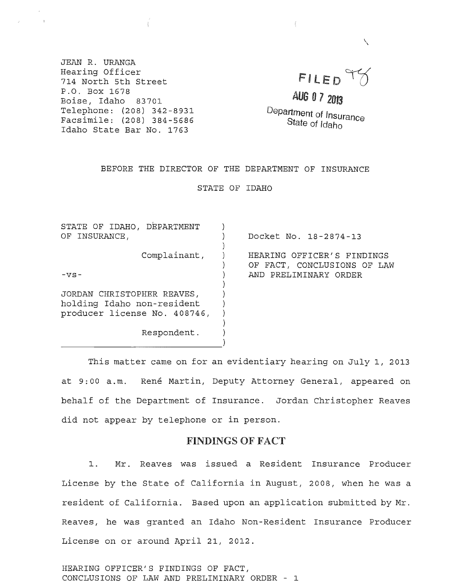JEAN R. URANGA Hearing Officer 714 North 5th Street P.O. Box 1678 Boise, Idaho 83701 Telephone: (208) 342-8931 Facsimile: (208) 384-5686 Idaho State Bar No. 1763

# FILED T7

 $\checkmark$ 

AUG 07 2OJ3

Department of Insurance State of Idaho

#### BEFORE THE DIRECTOR OF THE DEPARTMENT OF INSURANCE

STATE OF IDAHO

| STATE OF IDAHO, DEPARTMENT                                                               |                                                                                    |
|------------------------------------------------------------------------------------------|------------------------------------------------------------------------------------|
| OF INSURANCE,                                                                            | Docket No. 18-2874-13                                                              |
| Complainant,<br>$-VS -$                                                                  | HEARING OFFICER'S FINDINGS<br>OF FACT, CONCLUSIONS OF LAW<br>AND PRELIMINARY ORDER |
|                                                                                          |                                                                                    |
| JORDAN CHRISTOPHER REAVES,<br>holding Idaho non-resident<br>producer license No. 408746, |                                                                                    |
| Respondent.                                                                              |                                                                                    |
|                                                                                          |                                                                                    |

This matter came on for an evidentiary hearing on July I, 2013 at 9:00 a.m. René Martin, Deputy Attorney General, appeared on behalf of the Department of Insurance. Jordan Christopher Reaves did not appear by telephone or in person.

#### FINDINGS OF FACT

1. Mr. Reaves was issued a Resident Insurance Producer License by the State of California in August, 2008, when he was a resident of California. Based upon an application submitted by Mr. Reaves, he was granted an Idaho Non-Resident Insurance Producer License on or around April 21, 2012.

HEARING OFFICER'S FINDINGS OF FACT, CONCLUSIONS OF LAW AND PRELIMINARY ORDER - 1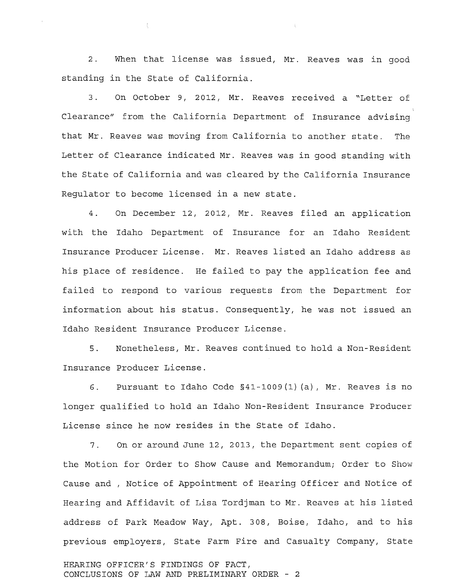2. When that license was issued, Mr. Reaves was in good standing in the State of California.

3. On October 9, 2012, Mr. Reaves received a "Letter of Clearance" from the California Department of Insurance advising that Mr. Reaves was moving from California to another state. The Letter of Clearance indicated Mr. Reaves was in good standing with the State of California and was cleared by the California Insurance Regulator to become licensed in a new state.

4. On December 12, 2012, Mr. Reaves filed an application with the Idaho Department of Insurance for an Idaho Resident Insurance Producer License. Mr. Reaves listed an Idaho address as his place of residence. He failed to pay the application fee and failed to respond to various requests from the Department for information about his status. Consequently, he was not issued an Idaho Resident Insurance Producer License.

5. Nonetheless, Mr. Reaves continued to hold a Non-Resident Insurance Producer License.

6. Pursuant to Idaho Code §41-1009(1) (a), Mr. Reaves is no longer qualified to hold an Idaho Non-Resident Insurance Producer License since he now resides in the State of Idaho.

7. On or around June 12, 2013, the Department sent copies of the Motion for Order to Show Cause and Memorandum; Order to Show Cause and , Notice of Appointment of Hearing Officer and Notice of Hearing and Affidavit of Lisa Tordjman to Mr. Reaves at his listed address of Park Meadow Way, Apt. 308, Boise, Idaho, and to his previous employers, State Farm Fire and Casualty Company, State

HEARING OFFICER'S FINDINGS OF FACT, CONCLUSIONS OF LAW AND PRELIMINARY ORDER - 2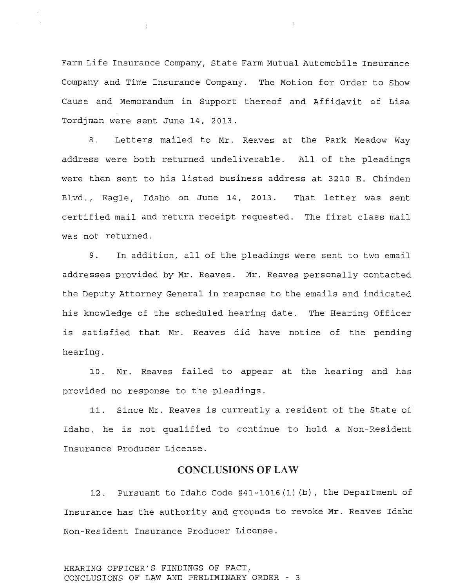Farm Life Insurance Company, state Farm Mutual Automobile Insurance Company and Time Insurance Company. The Motion for Order to Show Cause and Memorandum in Support thereof and Affidavit of Lisa Tordjman were sent June 14, 2013.

8. Letters mailed to Mr. Reaves at the Park Meadow Way address were both returned undeliverable. All of the pleadings were then sent to his listed business address at 3210 E. Chinden Blvd., Eagle, Idaho on June 14, 2013. That letter was sent certified mail and return receipt requested. The first class mail was not returned.

9. In addition, all of the pleadings were sent to two email addresses provided by Mr. Reaves. Mr. Reaves personally contacted the Deputy Attorney General in response to the emails and indicated his knowledge of the scheduled hearing date. The Hearing Officer is satisfied that Mr. Reaves did have notice of the pending hearing.

10. Mr. Reaves failed to appear at the hearing and has provided no response to the pleadings.

11. Since Mr. Reaves is currently a resident of the State of Idaho, he is not qualified to continue to hold a Non-Resident Insurance Producer License.

## CONCLUSIONS OF LAW

12. Pursuant to Idaho Code §41-1016 (1) (b), the Department of Insurance has the authority and grounds to revoke Mr. Reaves Idaho Non-Resident Insurance Producer License.

HEARING OFFICER'S FINDINGS OF FACT, CONCLUSIONS OF LAW AND PRELIMINARY ORDER - 3